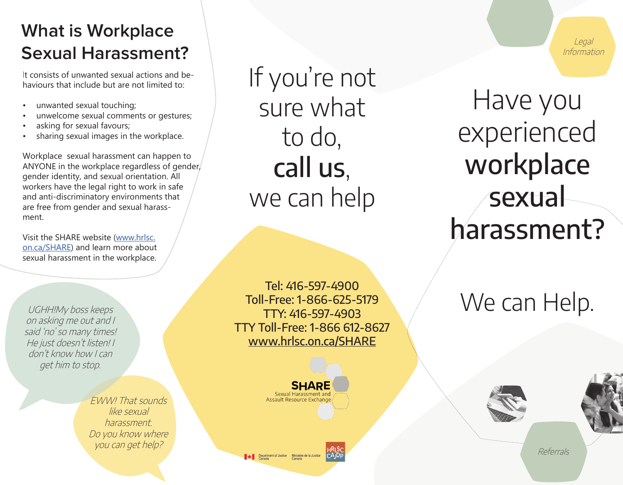### **What is Workplace Sexual Harassment?**

It consists of unwanted sexual actions and behaviours that include but are not limited to:

- unwanted sexual touching;
- unwelcome sexual comments or gestures;
- asking for sexual favours;
- sharing sexual images in the workplace.

Workplace sexual harassment can happen to ANYONE in the workplace regardless of gender, gender identity, and sexual orientation. All workers have the legal right to work in safe and anti-discriminatory environments that are free from gender and sexual harassment.

Visit the SHARE website (www.hrlsc. on.ca/SHARE) and learn more about sexual harassment in the workplace.

UGHH!My boss keeps on asking me out and I said 'no' so many times! He just doesn't listen! I don't know how I can get him to stop.

> EWW! That sounds like sexual harassment. Do you know where you can get help?

If you're not sure what to do, call us, we can help

Tel: 416-597-4900 Toll-Free: 1-866-625-5179 TTY: 416-597-4903 TTY Toll-Free: 1-866 612-8627 www.hrlsc.on.ca/SHARE



Department of Justice Ministère de la Justice

Have you experienced workplace **sexual** 

Legal Information

# We can Help.

harassment?





Referrals